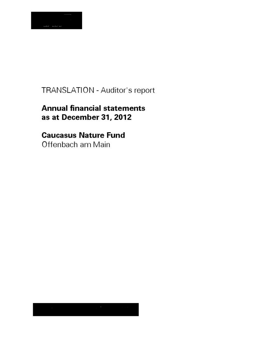

# TRANSLATION - Auditor's report

# **Annual financial statements** as at December 31, 2012

# **Caucasus Nature Fund**

Offenbach am Main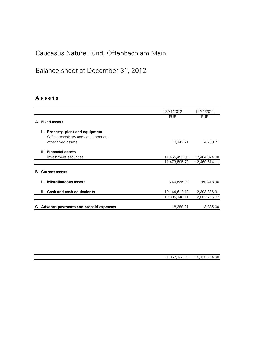### Balance sheet at December 31, 2012

### A s s e t s

|                          |                                          | 12/31/2012    | 12/31/2011    |
|--------------------------|------------------------------------------|---------------|---------------|
|                          |                                          | <b>EUR</b>    | <b>EUR</b>    |
| A. Fixed assets          |                                          |               |               |
| Ъ.                       | Property, plant and equipment            |               |               |
|                          | Office machinery and equipment and       |               |               |
|                          | other fixed assets                       | 8,142.71      | 4,739.21      |
|                          |                                          |               |               |
|                          | II. Financial assets                     |               |               |
|                          | Investment securities                    | 11,465,452.99 | 12,464,874.90 |
|                          |                                          | 11,473,595.70 | 12,469,614.11 |
|                          |                                          |               |               |
| <b>B.</b> Current assets |                                          |               |               |
|                          | <b>Miscellaneous assets</b>              |               |               |
|                          |                                          | 240,535.99    | 259,418.96    |
| н. -                     | <b>Cash and cash equivalents</b>         | 10,144,612.12 | 2,393,336.91  |
|                          |                                          | 10,385,148.11 | 2,652,755.87  |
|                          |                                          |               |               |
|                          | C. Advance payments and prepaid expenses | 8,389.21      | 3,885.00      |
|                          |                                          |               |               |

| 21,867,133.02 | 15,126,254.98 |
|---------------|---------------|
|               |               |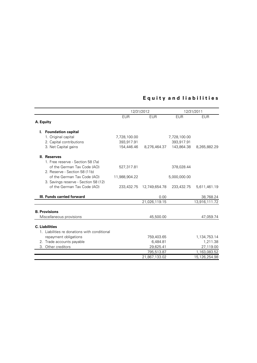### Equity and liabilities

|           |                                              | 12/31/2012    |               |              | 12/31/2011    |  |
|-----------|----------------------------------------------|---------------|---------------|--------------|---------------|--|
|           |                                              | <b>EUR</b>    | <b>EUR</b>    | <b>EUR</b>   | <b>EUR</b>    |  |
| A. Equity |                                              |               |               |              |               |  |
|           | I. Foundation capital                        |               |               |              |               |  |
|           | 1. Original capital                          | 7,728,100.00  |               | 7,728,100.00 |               |  |
|           | 2. Capital contributions                     | 393,917.91    |               | 393,917.91   |               |  |
|           | 3. Net Capital gains                         | 154,446.46    | 8,276,464.37  | 143,864.38   | 8,265,882.29  |  |
|           | II. Reserves                                 |               |               |              |               |  |
|           | 1. Free reserve - Section 58 (7a)            |               |               |              |               |  |
|           | of the German Tax Code (AO)                  | 527,317.81    |               | 378,028.44   |               |  |
|           | 2. Reserve - Section 58 (11b)                |               |               |              |               |  |
|           | of the German Tax Code (AO)                  | 11,988,904.22 |               | 5,000,000.00 |               |  |
|           | 3. Savings reserve - Section 58 (12)         |               |               |              |               |  |
|           | of the German Tax Code (AO)                  | 233,432.75    | 12,749,654.78 | 233,432.75   | 5,611,461.19  |  |
|           | III. Funds carried forward                   |               | 0.00          |              | 38,768.24     |  |
|           |                                              |               | 21,026,119.15 |              | 13,916,111.72 |  |
|           | <b>B. Provisions</b>                         |               |               |              |               |  |
|           | Miscellaneous provisions                     |               | 45,500.00     |              | 47,059.74     |  |
|           |                                              |               |               |              |               |  |
|           | <b>C.</b> Liabilities                        |               |               |              |               |  |
|           | 1. Liabilities re donations with conditional |               |               |              |               |  |
|           | repayment obligations                        |               | 759,403.65    |              | 1,134,753.14  |  |
|           | 2. Trade accounts payable                    |               | 6,484.81      |              | 1,211.38      |  |
| 3.        | Other creditors                              |               | 29,625.41     |              | 27,119.00     |  |
|           |                                              |               | 795,513.87    |              | 1,163,083.52  |  |
|           |                                              |               | 21,867,133.02 |              | 15,126,254.98 |  |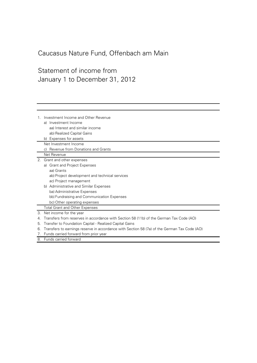# Statement of income from January 1 to December 31, 2012

| 1. | Investment Income and Other Revenue<br>a) Investment Income<br>aa) Interest and similar income<br>ab) Realized Capital Gains<br>b) Expenses for assets<br>Net Investment Income |
|----|---------------------------------------------------------------------------------------------------------------------------------------------------------------------------------|
|    |                                                                                                                                                                                 |
|    | c) Revenue from Donations and Grants<br>Net Revenue                                                                                                                             |
|    |                                                                                                                                                                                 |
|    | 2. Grant and other expenses                                                                                                                                                     |
|    | a) Grant and Project Expenses                                                                                                                                                   |
|    | aa) Grants                                                                                                                                                                      |
|    | ab) Project development and technical services                                                                                                                                  |
|    | ac) Project management                                                                                                                                                          |
|    | b) Administrative and Similar Expenses                                                                                                                                          |
|    | ba) Administrative Expenses                                                                                                                                                     |
|    | bb) Fundraising and Communication Expenses                                                                                                                                      |
|    | bc) Other operating expenses                                                                                                                                                    |
|    | <b>Total Grant and Other Expenses</b>                                                                                                                                           |
| 3. | Net income for the year                                                                                                                                                         |
| 4. | Transfers from reserves in accordance with Section 58 (11b) of the German Tax Code (AO)                                                                                         |
| 5. | Transfer to Foundation Capital - Realized Capital Gains                                                                                                                         |
| 6. | Transfers to earnings reserve in accordance with Section 58 (7a) of the German Tax Code (AO)                                                                                    |
| 7. | Funds carried forward from prior year                                                                                                                                           |

8. Funds carried forward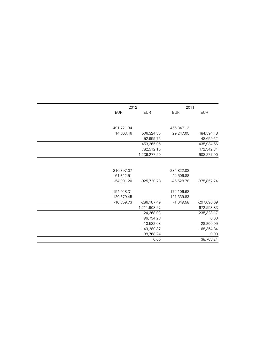|               | 2012            |                | 2011          |
|---------------|-----------------|----------------|---------------|
| <b>EUR</b>    | <b>EUR</b>      | <b>EUR</b>     | <b>EUR</b>    |
|               |                 |                |               |
| 491,721.34    |                 | 455,347.13     |               |
|               |                 |                |               |
| 14,603.46     | 506,324.80      | 29,247.05      | 484,594.18    |
|               | $-52,959.75$    |                | $-48,659.52$  |
|               | 453,365.05      |                | 435,934.66    |
|               | 782,912.15      |                | 472,342.34    |
|               | 1,236,277.20    |                | 908,277.00    |
|               |                 |                |               |
|               |                 |                |               |
| $-810,397.07$ |                 | -284,822.08    |               |
| $-61,322.51$  |                 | $-44,506.88$   |               |
| $-54,001.20$  | $-925,720.78$   | $-46,528.78$   | -375,857.74   |
|               |                 |                |               |
| $-154,948.31$ |                 | $-174, 106.68$ |               |
| $-120,379.45$ |                 | $-121,339.83$  |               |
| $-10,859.73$  | -286,187.49     | $-1,649.58$    | -297,096.09   |
|               | $-1,211,908.27$ |                | $-672,953.83$ |
|               | 24,368.93       |                | 235,323.17    |
|               | 96,734.28       |                | 0.00          |
|               | $-10,582.08$    |                | $-28,200.09$  |
|               | $-149,289.37$   |                | -168,354.84   |
|               | 38,768.24       |                | 0.00          |
|               | 0.00            |                | 38,768.24     |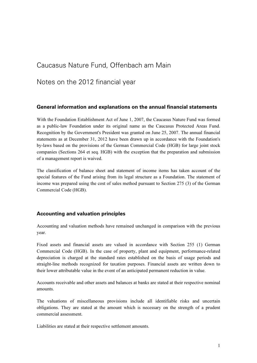Notes on the 2012 financial year

### General information and explanations on the annual financial statements

With the Foundation Establishment Act of June 1, 2007, the Caucasus Nature Fund was formed as a public-law Foundation under its original name as the Caucasus Protected Areas Fund. Recognition by the Government's President was granted on June 25, 2007. The annual financial statements as at December 31, 2012 have been drawn up in accordance with the Foundation's by-laws based on the provisions of the German Commercial Code (HGB) for large joint stock companies (Sections 264 et seq. HGB) with the exception that the preparation and submission of a management report is waived.

The classification of balance sheet and statement of income items has taken account of the special features of the Fund arising from its legal structure as a Foundation. The statement of income was prepared using the cost of sales method pursuant to Section 275 (3) of the German Commercial Code (HGB).

### Accounting and valuation principles

Accounting and valuation methods have remained unchanged in comparison with the previous year.

Fixed assets and financial assets are valued in accordance with Section 255 (1) German Commercial Code (HGB). In the case of property, plant and equipment, performance-related depreciation is charged at the standard rates established on the basis of usage periods and straight-line methods recognized for taxation purposes. Financial assets are written down to their lower attributable value in the event of an anticipated permanent reduction in value.

Accounts receivable and other assets and balances at banks are stated at their respective nominal amounts.

The valuations of miscellaneous provisions include all identifiable risks and uncertain obligations. They are stated at the amount which is necessary on the strength of a prudent commercial assessment.

Liabilities are stated at their respective settlement amounts.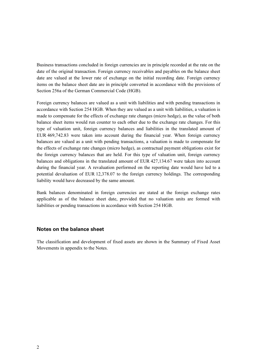Business transactions concluded in foreign currencies are in principle recorded at the rate on the date of the original transaction. Foreign currency receivables and payables on the balance sheet date are valued at the lower rate of exchange on the initial recording date. Foreign currency items on the balance sheet date are in principle converted in accordance with the provisions of Section 256a of the German Commercial Code (HGB).

Foreign currency balances are valued as a unit with liabilities and with pending transactions in accordance with Section 254 HGB. When they are valued as a unit with liabilities, a valuation is made to compensate for the effects of exchange rate changes (micro hedge), as the value of both balance sheet items would run counter to each other due to the exchange rate changes. For this type of valuation unit, foreign currency balances and liabilities in the translated amount of EUR 469,742.83 were taken into account during the financial year. When foreign currency balances are valued as a unit with pending transactions, a valuation is made to compensate for the effects of exchange rate changes (micro hedge), as contractual payment obligations exist for the foreign currency balances that are held. For this type of valuation unit, foreign currency balances and obligations in the translated amount of EUR 427,134.67 were taken into account during the financial year. A revaluation performed on the reporting date would have led to a potential devaluation of EUR 12,378.07 to the foreign currency holdings. The corresponding liability would have decreased by the same amount.

Bank balances denominated in foreign currencies are stated at the foreign exchange rates applicable as of the balance sheet date, provided that no valuation units are formed with liabilities or pending transactions in accordance with Section 254 HGB.

#### Notes on the balance sheet

The classification and development of fixed assets are shown in the Summary of Fixed Asset Movements in appendix to the Notes.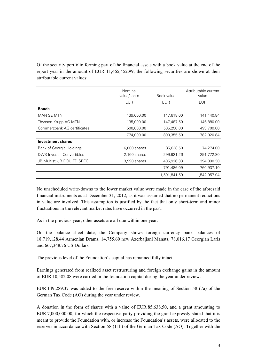Of the security portfolio forming part of the financial assets with a book value at the end of the report year in the amount of EUR 11,465,452.99, the following securities are shown at their attributable current values:

|                             | Nominal<br>value/share | Book value   | Attributable current<br>value |
|-----------------------------|------------------------|--------------|-------------------------------|
|                             | <b>EUR</b>             | <b>EUR</b>   | <b>EUR</b>                    |
| <b>Bonds</b>                |                        |              |                               |
| MAN SE MTN                  | 139,000.00             | 147,618.00   | 141,440.84                    |
| Thyssen Krupp AG MTN        | 135,000.00             | 147,487.50   | 146,880.00                    |
| Commerzbank AG certificates | 500,000.00             | 505,250.00   | 493,700.00                    |
|                             | 774,000.00             | 800,355.50   | 782,020.84                    |
| <b>Investment shares</b>    |                        |              |                               |
| Bank of Georgia Holdings    | 6,000 shares           | 85,638.50    | 74,274.00                     |
| DWS Invest - Convertibles   | 2,160 shares           | 299,921.26   | 291,772.80                    |
| JB Multist.-JB EQU.FD.SPEC. | 3,990 shares           | 405,926.33   | 394,890.30                    |
|                             |                        | 791,486.09   | 760,937.10                    |
|                             |                        | 1,591,841.59 | 1,542,957.94                  |

No unscheduled write-downs to the lower market value were made in the case of the aforesaid financial instruments as at December 31, 2012, as it was assumed that no permanent reductions in value are involved. This assumption is justified by the fact that only short-term and minor fluctuations in the relevant market rates have occurred in the past.

As in the previous year, other assets are all due within one year.

On the balance sheet date, the Company shows foreign currency bank balances of 18,719,128.44 Armenian Drams, 14,755.60 new Azerbaijani Manats, 78,016.17 Georgian Laris and 667,348.76 US Dollars.

The previous level of the Foundation's capital has remained fully intact.

Earnings generated from realized asset restructuring and foreign exchange gains in the amount of EUR 10,582.08 were carried in the foundation capital during the year under review.

EUR 149,289.37 was added to the free reserve within the meaning of Section 58 (7a) of the German Tax Code (AO) during the year under review.

A donation in the form of shares with a value of EUR 85,638.50, and a grant amounting to EUR 7,000,000.00, for which the respective party providing the grant expressly stated that it is meant to provide the Foundation with, or increase the Foundation's assets, were allocated to the reserves in accordance with Section 58 (11b) of the German Tax Code (AO). Together with the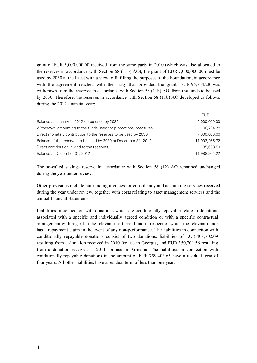grant of EUR 5,000,000.00 received from the same party in 2010 (which was also allocated to the reserves in accordance with Section 58 (11b) AO), the grant of EUR 7,000,000.00 must be used by 2030 at the latest with a view to fulfilling the purposes of the Foundation, in accordance with the agreement reached with the party that provided the grant. EUR 96,734.28 was withdrawn from the reserves in accordance with Section 58 (11b) AO, from the funds to be used by 2030. Therefore, the reserves in accordance with Section 58 (11b) AO developed as follows during the 2012 financial year:

|                                                                 | <b>EUR</b>    |
|-----------------------------------------------------------------|---------------|
| Balance at January 1, 2012 (to be used by 2030)                 | 5,000,000.00  |
| Withdrawal amounting to the funds used for promotional measures | 96,734.28     |
| Direct monetary contribution to the reserves to be used by 2030 | 7,000,000.00  |
| Balance of the reserves to be used by 2030 at December 31, 2012 | 11.903.265.72 |
| Direct contribution in kind to the reserves                     | 85.638.50     |
| Balance at December 31, 2012                                    | 11.988.904.22 |

The so-called savings reserve in accordance with Section 58 (12) AO remained unchanged during the year under review.

Other provisions include outstanding invoices for consultancy and accounting services received during the year under review, together with costs relating to asset management services and the annual financial statements.

Liabilities in connection with donations which are conditionally repayable relate to donations associated with a specific and individually agreed condition or with a specific contractual arrangement with regard to the relevant use thereof and in respect of which the relevant donor has a repayment claim in the event of any non-performance. The liabilities in connection with conditionally repayable donations consist of two donations: liabilities of EUR 408,702.09 resulting from a donation received in 2010 for use in Georgia, and EUR 350,701.56 resulting from a donation received in 2011 for use in Armenia. The liabilities in connection with conditionally repayable donations in the amount of EUR 759,403.65 have a residual term of four years. All other liabilities have a residual term of less than one year.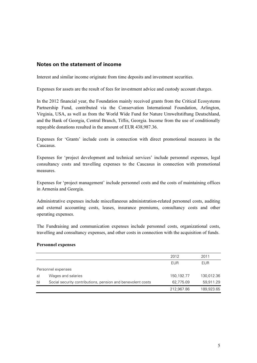### Notes on the statement of income

Interest and similar income originate from time deposits and investment securities.

Expenses for assets are the result of fees for investment advice and custody account charges.

In the 2012 financial year, the Foundation mainly received grants from the Critical Ecosystems Partnership Fund, contributed via the Conservation International Foundation, Arlington, Virginia, USA, as well as from the World Wide Fund for Nature Umweltstiftung Deutschland, and the Bank of Georgia, Central Branch, Tiflis, Georgia. Income from the use of conditionally repayable donations resulted in the amount of EUR 438,987.36.

Expenses for 'Grants' include costs in connection with direct promotional measures in the Caucasus.

Expenses for 'project development and technical services' include personnel expenses, legal consultancy costs and travelling expenses to the Caucasus in connection with promotional measures.

Expenses for 'project management' include personnel costs and the costs of maintaining offices in Armenia and Georgia.

Administrative expenses include miscellaneous administration-related personnel costs, auditing and external accounting costs, leases, insurance premiums, consultancy costs and other operating expenses.

The Fundraising and communication expenses include personnel costs, organizational costs, travelling and consultancy expenses, and other costs in connection with the acquisition of funds.

#### Personnel expenses

|    |                                                             | 2012       | 2011       |
|----|-------------------------------------------------------------|------------|------------|
|    |                                                             | <b>EUR</b> | <b>EUR</b> |
|    | Personnel expenses                                          |            |            |
| a) | Wages and salaries                                          | 150,192.77 | 130,012.36 |
| b) | Social security contributions, pension and benevolent costs | 62,775.09  | 59,911.29  |
|    |                                                             | 212,967.86 | 189,923.65 |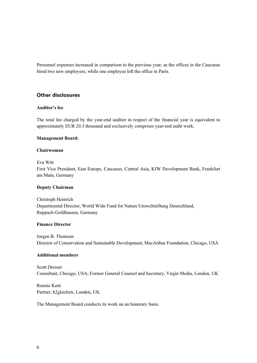Personnel expenses increased in comparison to the previous year, as the offices in the Caucasus hired two new employees, while one employee left the office in Paris.

### Other disclosures

#### Auditor's fee

The total fee charged by the year-end auditor in respect of the financial year is equivalent to approximately EUR 20.3 thousand and exclusively comprises year-end audit work.

#### Management Board:

#### Chairwoman

Eva Witt

First Vice President, East Europe, Caucasus, Central Asia, KfW Development Bank, Frankfurt am Main, Germany

#### Deputy Chairman

Christoph Heinrich Departmental Director, World Wide Fund for Nature Umweltstiftung Deutschland, Ruppach-Goldhausen, Germany

### Finance Director

Jorgen B. Thomsen Director of Conservation and Sustainable Development, MacArthur Foundation, Chicago, USA

#### Additional members

Scott Dresser Consultant, Chicago, USA; Former General Counsel and Secretary, Virgin Media, London, UK

Ronnie Kent Partner, h2glenfern, London, UK

The Management Board conducts its work on an honorary basis.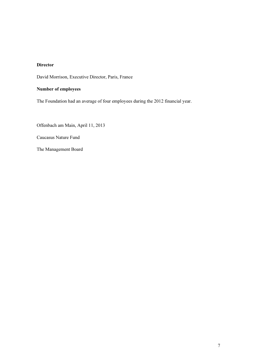### Director

David Morrison, Executive Director, Paris, France

#### Number of employees

The Foundation had an average of four employees during the 2012 financial year.

Offenbach am Main, April 11, 2013

Caucasus Nature Fund

The Management Board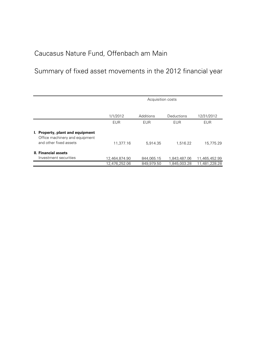## Summary of fixed asset movements in the 2012 financial year

|                                                                    | Acquisition costs |            |                   |               |
|--------------------------------------------------------------------|-------------------|------------|-------------------|---------------|
|                                                                    |                   |            |                   |               |
|                                                                    | 1/1/2012          | Additions  | <b>Deductions</b> | 12/31/2012    |
|                                                                    | <b>EUR</b>        | EUR.       | <b>EUR</b>        | <b>EUR</b>    |
| I. Property, plant and equipment<br>Office machinery and equipment |                   |            |                   |               |
| and other fixed assets                                             | 11,377.16         | 5.914.35   | 1.516.22          | 15,775.29     |
| <b>II. Financial assets</b>                                        |                   |            |                   |               |
| Investment securities                                              | 12,464,874.90     | 844,065.15 | 1,843,487.06      | 11,465,452.99 |
|                                                                    | 12.476.252.06     | 849.979.50 | 1.845.003.28      | 11.481.228.28 |